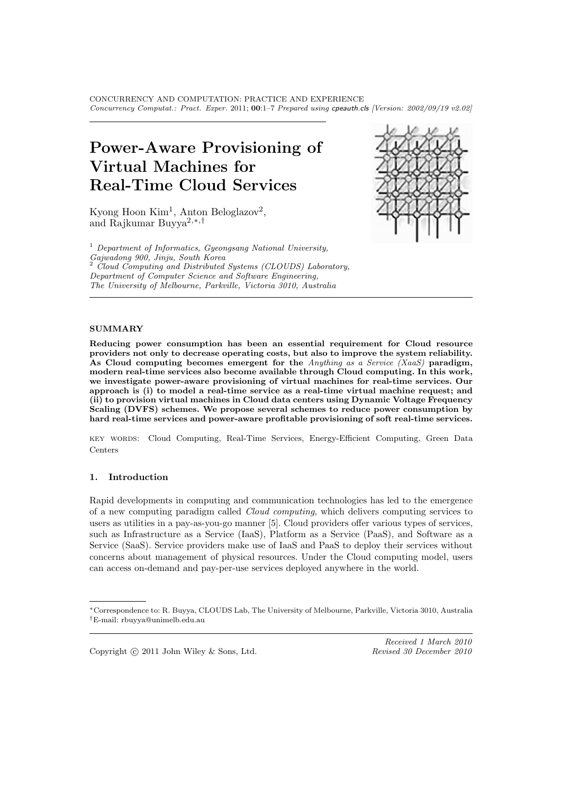CONCURRENCY AND COMPUTATION: PRACTICE AND EXPERIENCE *Concurrency Computat.: Pract. Exper.* 2011; 00:1–7 *Prepared using* cpeauth.cls *[Version: 2002/09/19 v2.02]*

# Power-Aware Provisioning of Virtual Machines for Real-Time Cloud Services

Kyong Hoon Kim<sup>1</sup>, Anton Beloglazov<sup>2</sup>, and Rajkumar Buyya2,∗,†

 $1$  Department of Informatics, Gyeongsang National University, Gajwadong 900, Jinju, South Korea  $2$  Cloud Computing and Distributed Systems (CLOUDS) Laboratory, Department of Computer Science and Software Engineering, The University of Melbourne, Parkville, Victoria 3010, Australia



## **SUMMARY**

Reducing power consumption has been an essential requirement for Cloud resource providers not only to decrease operating costs, but also to improve the system reliability. As Cloud computing becomes emergent for the Anything as a Service (XaaS) paradigm, modern real-time services also become available through Cloud computing. In this work, we investigate power-aware provisioning of virtual machines for real-time services. Our approach is (i) to model a real-time service as a real-time virtual machine request; and  $(i)$  to provision virtual machines in Cloud data centers using Dynamic Voltage Frequency Scaling (DVFS) schemes. We propose several schemes to reduce power consumption by hard real-time services and power-aware profitable provisioning of soft real-time services.

key words: Cloud Computing, Real-Time Services, Energy-Efficient Computing, Green Data Centers

#### 1. Introduction

Rapid developments in computing and communication technologies has led to the emergence of a new computing paradigm called Cloud computing, which delivers computing services to users as utilities in a pay-as-you-go manner [5]. Cloud providers offer various types of services, such as Infrastructure as a Service (IaaS), Platform as a Service (PaaS), and Software as a Service (SaaS). Service providers make use of IaaS and PaaS to deploy their services without concerns about management of physical resources. Under the Cloud computing model, users can access on-demand and pay-per-use services deployed anywhere in the world.

Copyright  $\odot$  2011 John Wiley & Sons, Ltd.

<sup>∗</sup>Correspondence to: R. Buyya, CLOUDS Lab, The University of Melbourne, Parkville, Victoria 3010, Australia †E-mail: rbuyya@unimelb.edu.au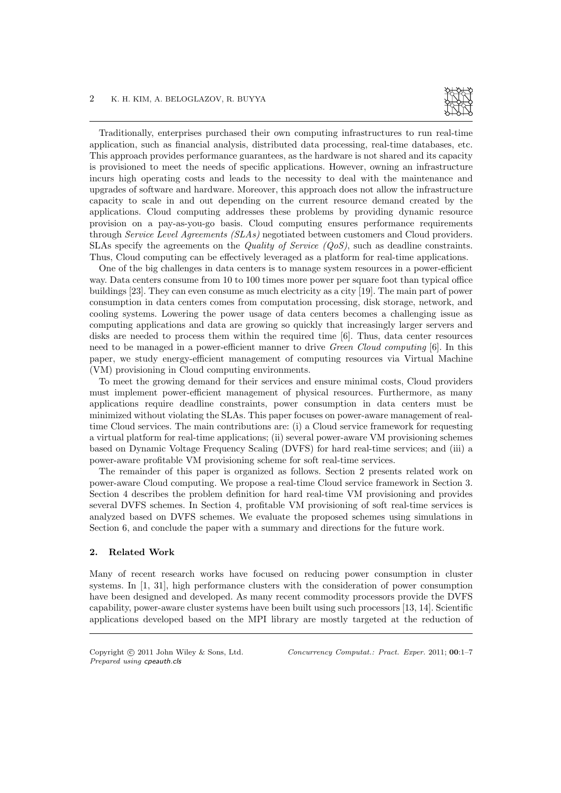

Traditionally, enterprises purchased their own computing infrastructures to run real-time application, such as financial analysis, distributed data processing, real-time databases, etc. This approach provides performance guarantees, as the hardware is not shared and its capacity is provisioned to meet the needs of specific applications. However, owning an infrastructure incurs high operating costs and leads to the necessity to deal with the maintenance and upgrades of software and hardware. Moreover, this approach does not allow the infrastructure capacity to scale in and out depending on the current resource demand created by the applications. Cloud computing addresses these problems by providing dynamic resource provision on a pay-as-you-go basis. Cloud computing ensures performance requirements through Service Level Agreements (SLAs) negotiated between customers and Cloud providers. SLAs specify the agreements on the *Quality of Service (* $OoS$ *)*, such as deadline constraints. Thus, Cloud computing can be effectively leveraged as a platform for real-time applications.

One of the big challenges in data centers is to manage system resources in a power-efficient way. Data centers consume from 10 to 100 times more power per square foot than typical office buildings [23]. They can even consume as much electricity as a city [19]. The main part of power consumption in data centers comes from computation processing, disk storage, network, and cooling systems. Lowering the power usage of data centers becomes a challenging issue as computing applications and data are growing so quickly that increasingly larger servers and disks are needed to process them within the required time [6]. Thus, data center resources need to be managed in a power-efficient manner to drive Green Cloud computing [6]. In this paper, we study energy-efficient management of computing resources via Virtual Machine (VM) provisioning in Cloud computing environments.

To meet the growing demand for their services and ensure minimal costs, Cloud providers must implement power-efficient management of physical resources. Furthermore, as many applications require deadline constraints, power consumption in data centers must be minimized without violating the SLAs. This paper focuses on power-aware management of realtime Cloud services. The main contributions are: (i) a Cloud service framework for requesting a virtual platform for real-time applications; (ii) several power-aware VM provisioning schemes based on Dynamic Voltage Frequency Scaling (DVFS) for hard real-time services; and (iii) a power-aware profitable VM provisioning scheme for soft real-time services.

The remainder of this paper is organized as follows. Section 2 presents related work on power-aware Cloud computing. We propose a real-time Cloud service framework in Section 3. Section 4 describes the problem definition for hard real-time VM provisioning and provides several DVFS schemes. In Section 4, profitable VM provisioning of soft real-time services is analyzed based on DVFS schemes. We evaluate the proposed schemes using simulations in Section 6, and conclude the paper with a summary and directions for the future work.

### 2. Related Work

Many of recent research works have focused on reducing power consumption in cluster systems. In [1, 31], high performance clusters with the consideration of power consumption have been designed and developed. As many recent commodity processors provide the DVFS capability, power-aware cluster systems have been built using such processors [13, 14]. Scientific applications developed based on the MPI library are mostly targeted at the reduction of

*Prepared using* cpeauth.cls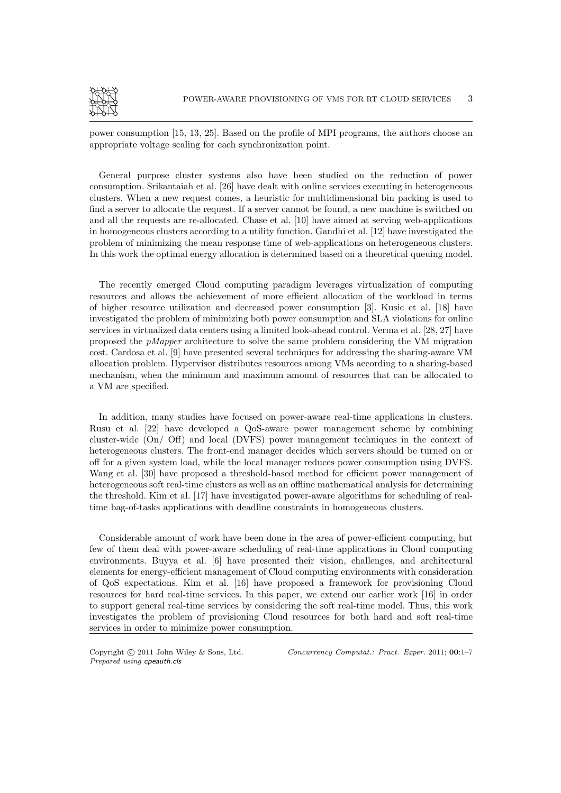

power consumption [15, 13, 25]. Based on the profile of MPI programs, the authors choose an appropriate voltage scaling for each synchronization point.

General purpose cluster systems also have been studied on the reduction of power consumption. Srikantaiah et al. [26] have dealt with online services executing in heterogeneous clusters. When a new request comes, a heuristic for multidimensional bin packing is used to find a server to allocate the request. If a server cannot be found, a new machine is switched on and all the requests are re-allocated. Chase et al. [10] have aimed at serving web-applications in homogeneous clusters according to a utility function. Gandhi et al. [12] have investigated the problem of minimizing the mean response time of web-applications on heterogeneous clusters. In this work the optimal energy allocation is determined based on a theoretical queuing model.

The recently emerged Cloud computing paradigm leverages virtualization of computing resources and allows the achievement of more efficient allocation of the workload in terms of higher resource utilization and decreased power consumption [3]. Kusic et al. [18] have investigated the problem of minimizing both power consumption and SLA violations for online services in virtualized data centers using a limited look-ahead control. Verma et al. [28, 27] have proposed the pMapper architecture to solve the same problem considering the VM migration cost. Cardosa et al. [9] have presented several techniques for addressing the sharing-aware VM allocation problem. Hypervisor distributes resources among VMs according to a sharing-based mechanism, when the minimum and maximum amount of resources that can be allocated to a VM are specified.

In addition, many studies have focused on power-aware real-time applications in clusters. Rusu et al. [22] have developed a QoS-aware power management scheme by combining cluster-wide (On/ Off) and local (DVFS) power management techniques in the context of heterogeneous clusters. The front-end manager decides which servers should be turned on or off for a given system load, while the local manager reduces power consumption using DVFS. Wang et al. [30] have proposed a threshold-based method for efficient power management of heterogeneous soft real-time clusters as well as an offline mathematical analysis for determining the threshold. Kim et al. [17] have investigated power-aware algorithms for scheduling of realtime bag-of-tasks applications with deadline constraints in homogeneous clusters.

Considerable amount of work have been done in the area of power-efficient computing, but few of them deal with power-aware scheduling of real-time applications in Cloud computing environments. Buyya et al. [6] have presented their vision, challenges, and architectural elements for energy-efficient management of Cloud computing environments with consideration of QoS expectations. Kim et al. [16] have proposed a framework for provisioning Cloud resources for hard real-time services. In this paper, we extend our earlier work [16] in order to support general real-time services by considering the soft real-time model. Thus, this work investigates the problem of provisioning Cloud resources for both hard and soft real-time services in order to minimize power consumption.

*Prepared using* cpeauth.cls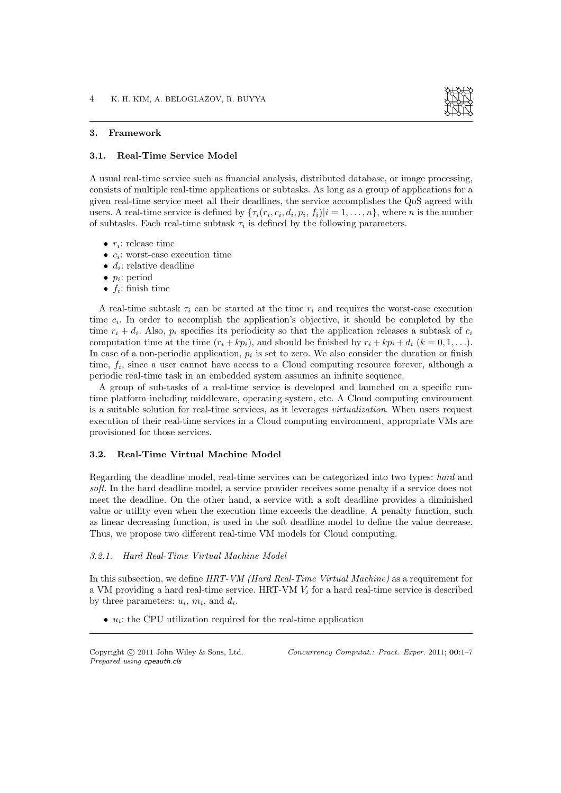

#### 3. Framework

#### 3.1. Real-Time Service Model

A usual real-time service such as financial analysis, distributed database, or image processing, consists of multiple real-time applications or subtasks. As long as a group of applications for a given real-time service meet all their deadlines, the service accomplishes the QoS agreed with users. A real-time service is defined by  $\{\tau_i(r_i, c_i, d_i, p_i, f_i) | i = 1, \ldots, n\}$ , where *n* is the number of subtasks. Each real-time subtask  $\tau_i$  is defined by the following parameters.

- $r_i$ : release time
- $c_i$ : worst-case execution time
- $d_i$ : relative deadline
- $p_i$ : period
- $f_i$ : finish time

A real-time subtask  $\tau_i$  can be started at the time  $r_i$  and requires the worst-case execution time  $c_i$ . In order to accomplish the application's objective, it should be completed by the time  $r_i + d_i$ . Also,  $p_i$  specifies its periodicity so that the application releases a subtask of  $c_i$ computation time at the time  $(r_i + kp_i)$ , and should be finished by  $r_i + kp_i + d_i$   $(k = 0, 1, \ldots)$ . In case of a non-periodic application,  $p_i$  is set to zero. We also consider the duration or finish time,  $f_i$ , since a user cannot have access to a Cloud computing resource forever, although a periodic real-time task in an embedded system assumes an infinite sequence.

A group of sub-tasks of a real-time service is developed and launched on a specific runtime platform including middleware, operating system, etc. A Cloud computing environment is a suitable solution for real-time services, as it leverages virtualization. When users request execution of their real-time services in a Cloud computing environment, appropriate VMs are provisioned for those services.

#### 3.2. Real-Time Virtual Machine Model

Regarding the deadline model, real-time services can be categorized into two types: hard and soft. In the hard deadline model, a service provider receives some penalty if a service does not meet the deadline. On the other hand, a service with a soft deadline provides a diminished value or utility even when the execution time exceeds the deadline. A penalty function, such as linear decreasing function, is used in the soft deadline model to define the value decrease. Thus, we propose two different real-time VM models for Cloud computing.

## 3.2.1. Hard Real-Time Virtual Machine Model

In this subsection, we define HRT-VM (Hard Real-Time Virtual Machine) as a requirement for a VM providing a hard real-time service. HRT-VM  $V_i$  for a hard real-time service is described by three parameters:  $u_i$ ,  $m_i$ , and  $d_i$ .

 $\bullet$   $u_i$ : the CPU utilization required for the real-time application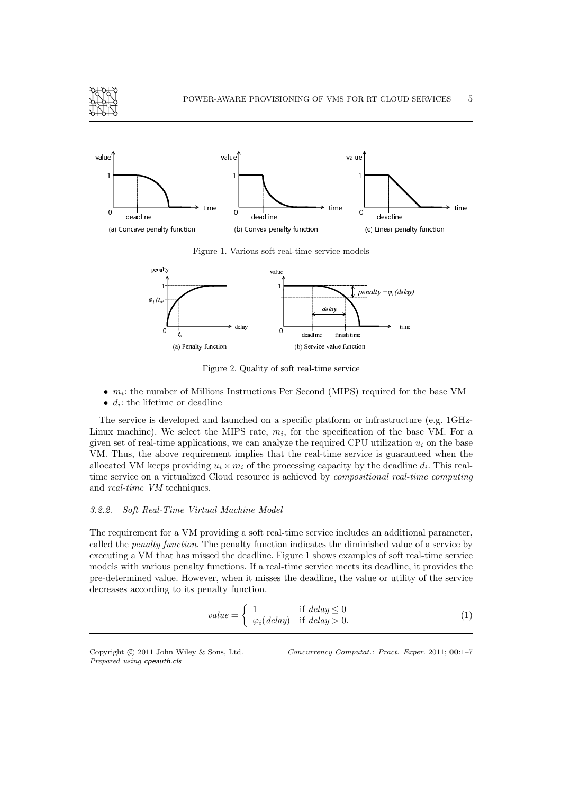



Figure 1. Various soft real-time service models



Figure 2. Quality of soft real-time service

- $\bullet$   $m_i$ : the number of Millions Instructions Per Second (MIPS) required for the base VM
- $d_i$ : the lifetime or deadline

The service is developed and launched on a specific platform or infrastructure (e.g. 1GHz-Linux machine). We select the MIPS rate,  $m_i$ , for the specification of the base VM. For a given set of real-time applications, we can analyze the required CPU utilization  $u_i$  on the base VM. Thus, the above requirement implies that the real-time service is guaranteed when the allocated VM keeps providing  $u_i \times m_i$  of the processing capacity by the deadline  $d_i$ . This realtime service on a virtualized Cloud resource is achieved by compositional real-time computing and real-time VM techniques.

## 3.2.2. Soft Real-Time Virtual Machine Model

The requirement for a VM providing a soft real-time service includes an additional parameter, called the penalty function. The penalty function indicates the diminished value of a service by executing a VM that has missed the deadline. Figure 1 shows examples of soft real-time service models with various penalty functions. If a real-time service meets its deadline, it provides the pre-determined value. However, when it misses the deadline, the value or utility of the service decreases according to its penalty function.

$$
value = \begin{cases} 1 & \text{if delay} \le 0\\ \varphi_i(delay) & \text{if delay} > 0. \end{cases}
$$
 (1)

*Prepared using* cpeauth.cls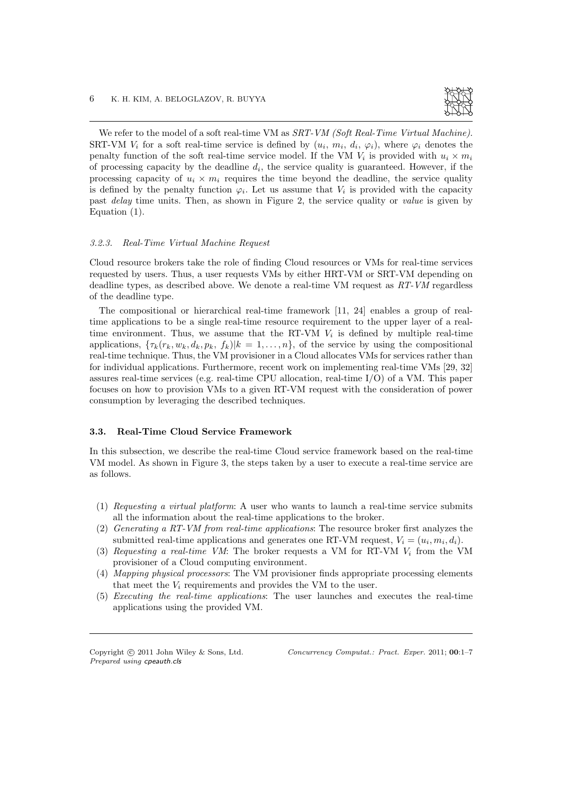

We refer to the model of a soft real-time VM as SRT-VM (Soft Real-Time Virtual Machine). SRT-VM  $V_i$  for a soft real-time service is defined by  $(u_i, m_i, d_i, \varphi_i)$ , where  $\varphi_i$  denotes the penalty function of the soft real-time service model. If the VM  $V_i$  is provided with  $u_i \times m_i$ of processing capacity by the deadline  $d_i$ , the service quality is guaranteed. However, if the processing capacity of  $u_i \times m_i$  requires the time beyond the deadline, the service quality is defined by the penalty function  $\varphi_i$ . Let us assume that  $V_i$  is provided with the capacity past delay time units. Then, as shown in Figure 2, the service quality or value is given by Equation (1).

#### 3.2.3. Real-Time Virtual Machine Request

Cloud resource brokers take the role of finding Cloud resources or VMs for real-time services requested by users. Thus, a user requests VMs by either HRT-VM or SRT-VM depending on deadline types, as described above. We denote a real-time VM request as RT-VM regardless of the deadline type.

The compositional or hierarchical real-time framework [11, 24] enables a group of realtime applications to be a single real-time resource requirement to the upper layer of a realtime environment. Thus, we assume that the RT-VM  $V_i$  is defined by multiple real-time applications,  $\{\tau_k(r_k, w_k, d_k, p_k, f_k)|k = 1, \ldots, n\}$ , of the service by using the compositional real-time technique. Thus, the VM provisioner in a Cloud allocates VMs for services rather than for individual applications. Furthermore, recent work on implementing real-time VMs [29, 32] assures real-time services (e.g. real-time CPU allocation, real-time I/O) of a VM. This paper focuses on how to provision VMs to a given RT-VM request with the consideration of power consumption by leveraging the described techniques.

#### 3.3. Real-Time Cloud Service Framework

In this subsection, we describe the real-time Cloud service framework based on the real-time VM model. As shown in Figure 3, the steps taken by a user to execute a real-time service are as follows.

- (1) Requesting a virtual platform: A user who wants to launch a real-time service submits all the information about the real-time applications to the broker.
- (2) Generating a RT-VM from real-time applications: The resource broker first analyzes the submitted real-time applications and generates one RT-VM request,  $V_i = (u_i, m_i, d_i)$ .
- (3) Requesting a real-time VM: The broker requests a VM for RT-VM  $V_i$  from the VM provisioner of a Cloud computing environment.
- (4) Mapping physical processors: The VM provisioner finds appropriate processing elements that meet the  $V_i$  requirements and provides the VM to the user.
- (5) Executing the real-time applications: The user launches and executes the real-time applications using the provided VM.

*Prepared using* cpeauth.cls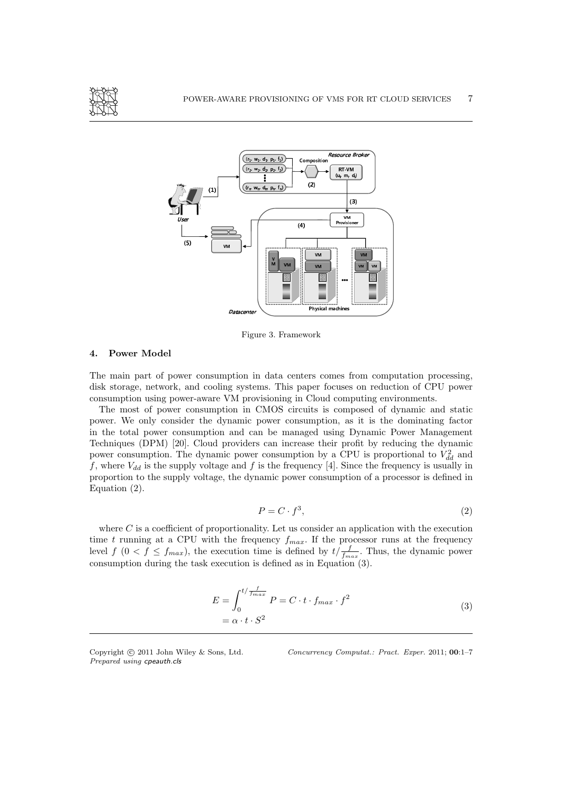



Figure 3. Framework

### 4. Power Model

The main part of power consumption in data centers comes from computation processing, disk storage, network, and cooling systems. This paper focuses on reduction of CPU power consumption using power-aware VM provisioning in Cloud computing environments.

The most of power consumption in CMOS circuits is composed of dynamic and static power. We only consider the dynamic power consumption, as it is the dominating factor in the total power consumption and can be managed using Dynamic Power Management Techniques (DPM) [20]. Cloud providers can increase their profit by reducing the dynamic power consumption. The dynamic power consumption by a CPU is proportional to  $\dot{V}_{dd}^2$  and f, where  $V_{dd}$  is the supply voltage and f is the frequency [4]. Since the frequency is usually in proportion to the supply voltage, the dynamic power consumption of a processor is defined in Equation (2).

$$
P = C \cdot f^3,\tag{2}
$$

where  $C$  is a coefficient of proportionality. Let us consider an application with the execution time t running at a CPU with the frequency  $f_{max}$ . If the processor runs at the frequency level  $f(0 < f \le f_{max})$ , the execution time is defined by  $t/\frac{f}{f_{max}}$ . Thus, the dynamic power consumption during the task execution is defined as in Equation (3).

$$
E = \int_0^{t/\frac{f}{f_{max}}} P = C \cdot t \cdot f_{max} \cdot f^2
$$
  
=  $\alpha \cdot t \cdot S^2$  (3)

*Prepared using* cpeauth.cls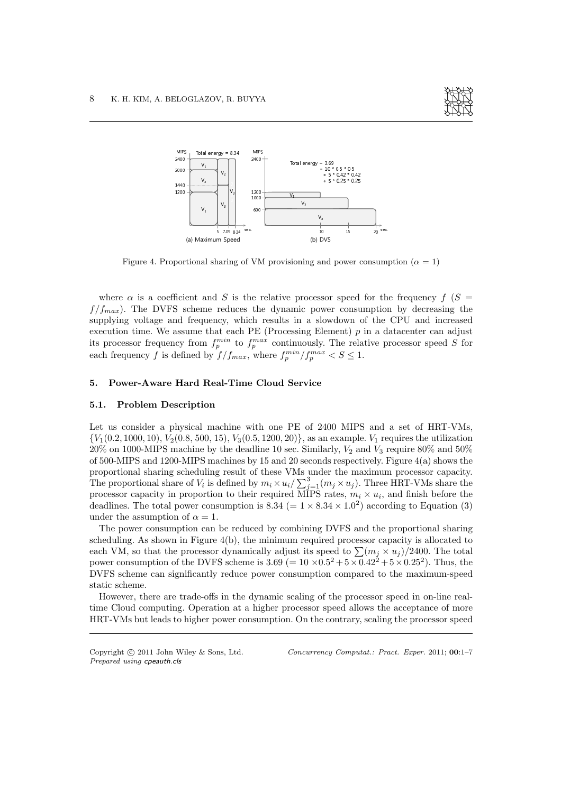



Figure 4. Proportional sharing of VM provisioning and power consumption ( $\alpha = 1$ )

where  $\alpha$  is a coefficient and S is the relative processor speed for the frequency f (S =  $f/f_{max}$ ). The DVFS scheme reduces the dynamic power consumption by decreasing the supplying voltage and frequency, which results in a slowdown of the CPU and increased execution time. We assume that each PE (Processing Element)  $p$  in a datacenter can adjust its processor frequency from  $f_p^{min}$  to  $f_p^{max}$  continuously. The relative processor speed S for each frequency f is defined by  $f/f_{max}$ , where  $f_p^{min}/f_p^{max} < S \leq 1$ .

### 5. Power-Aware Hard Real-Time Cloud Service

#### 5.1. Problem Description

Let us consider a physical machine with one PE of 2400 MIPS and a set of HRT-VMs,  $\{V_1(0.2, 1000, 10), V_2(0.8, 500, 15), V_3(0.5, 1200, 20)\}\$ , as an example.  $V_1$  requires the utilization 20% on 1000-MIPS machine by the deadline 10 sec. Similarly,  $V_2$  and  $V_3$  require 80% and 50% of 500-MIPS and 1200-MIPS machines by 15 and 20 seconds respectively. Figure 4(a) shows the proportional sharing scheduling result of these VMs under the maximum processor capacity. The proportional share of  $V_i$  is defined by  $m_i \times u_i / \sum_{j=1}^3 (m_j \times u_j)$ . Three HRT-VMs share the processor capacity in proportion to their required MIPS rates,  $m_i \times u_i$ , and finish before the deadlines. The total power consumption is  $8.34 (= 1 \times 8.34 \times 1.0^2)$  according to Equation (3) under the assumption of  $\alpha = 1$ .

The power consumption can be reduced by combining DVFS and the proportional sharing scheduling. As shown in Figure 4(b), the minimum required processor capacity is allocated to each VM, so that the processor dynamically adjust its speed to  $\sum (m_j \times u_j)/2400$ . The total power consumption of the DVFS scheme is  $3.69 (= 10 \times 0.5^2 + 5 \times 0.42^2 + 5 \times 0.25^2)$ . Thus, the DVFS scheme can significantly reduce power consumption compared to the maximum-speed static scheme.

However, there are trade-offs in the dynamic scaling of the processor speed in on-line realtime Cloud computing. Operation at a higher processor speed allows the acceptance of more HRT-VMs but leads to higher power consumption. On the contrary, scaling the processor speed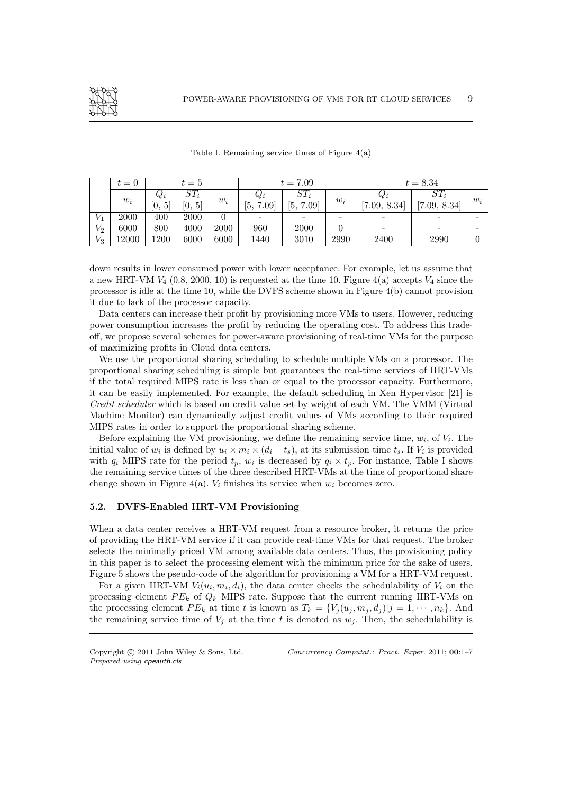

|                     | $t =$ | $t=5$                 |                      |       | $t = 7.09$                   |            |       | $t = 8.34$   |              |       |
|---------------------|-------|-----------------------|----------------------|-------|------------------------------|------------|-------|--------------|--------------|-------|
|                     | $w_i$ | $Q_i$                 | $ST_i$               | $w_i$ | $Q_i$                        | $ST_i$     | $w_i$ | $Q_i$        | $ST_i$       | $w_i$ |
|                     |       | 5 <sup>1</sup><br>[0, | $\overline{5}$<br>Ю, |       | 5,<br>0.09<br>$\overline{ }$ | 5,<br>7.09 |       | [7.09, 8.34] | [7.09, 8.34] |       |
| $V_1$               | 2000  | 400                   | 2000                 |       |                              |            |       |              |              |       |
| $\scriptstyle{V_2}$ | 6000  | 800                   | 4000                 | 2000  | 960                          | 2000       |       |              |              |       |
| $\scriptstyle V_3$  | 12000 | l 200                 | 6000                 | 6000  | 1440                         | 3010       | 2990  | 2400         | 2990         |       |

Table I. Remaining service times of Figure 4(a)

down results in lower consumed power with lower acceptance. For example, let us assume that a new HRT-VM  $V_4$  (0.8, 2000, 10) is requested at the time 10. Figure 4(a) accepts  $V_4$  since the processor is idle at the time 10, while the DVFS scheme shown in Figure 4(b) cannot provision it due to lack of the processor capacity.

Data centers can increase their profit by provisioning more VMs to users. However, reducing power consumption increases the profit by reducing the operating cost. To address this tradeoff, we propose several schemes for power-aware provisioning of real-time VMs for the purpose of maximizing profits in Cloud data centers.

We use the proportional sharing scheduling to schedule multiple VMs on a processor. The proportional sharing scheduling is simple but guarantees the real-time services of HRT-VMs if the total required MIPS rate is less than or equal to the processor capacity. Furthermore, it can be easily implemented. For example, the default scheduling in Xen Hypervisor [21] is Credit scheduler which is based on credit value set by weight of each VM. The VMM (Virtual Machine Monitor) can dynamically adjust credit values of VMs according to their required MIPS rates in order to support the proportional sharing scheme.

Before explaining the VM provisioning, we define the remaining service time,  $w_i$ , of  $V_i$ . The initial value of  $w_i$  is defined by  $u_i \times m_i \times (d_i - t_s)$ , at its submission time  $t_s$ . If  $V_i$  is provided with  $q_i$  MIPS rate for the period  $t_p$ ,  $w_i$  is decreased by  $q_i \times t_p$ . For instance, Table I shows the remaining service times of the three described HRT-VMs at the time of proportional share change shown in Figure 4(a).  $V_i$  finishes its service when  $w_i$  becomes zero.

## 5.2. DVFS-Enabled HRT-VM Provisioning

When a data center receives a HRT-VM request from a resource broker, it returns the price of providing the HRT-VM service if it can provide real-time VMs for that request. The broker selects the minimally priced VM among available data centers. Thus, the provisioning policy in this paper is to select the processing element with the minimum price for the sake of users. Figure 5 shows the pseudo-code of the algorithm for provisioning a VM for a HRT-VM request.

For a given HRT-VM  $V_i(u_i, m_i, d_i)$ , the data center checks the schedulability of  $V_i$  on the processing element  $PE_k$  of  $Q_k$  MIPS rate. Suppose that the current running HRT-VMs on the processing element  $PE_k$  at time t is known as  $T_k = \{V_j(u_j, m_j, d_j)|j = 1, \dots, n_k\}$ . And the remaining service time of  $V_i$  at the time t is denoted as  $w_i$ . Then, the schedulability is

*Prepared using* cpeauth.cls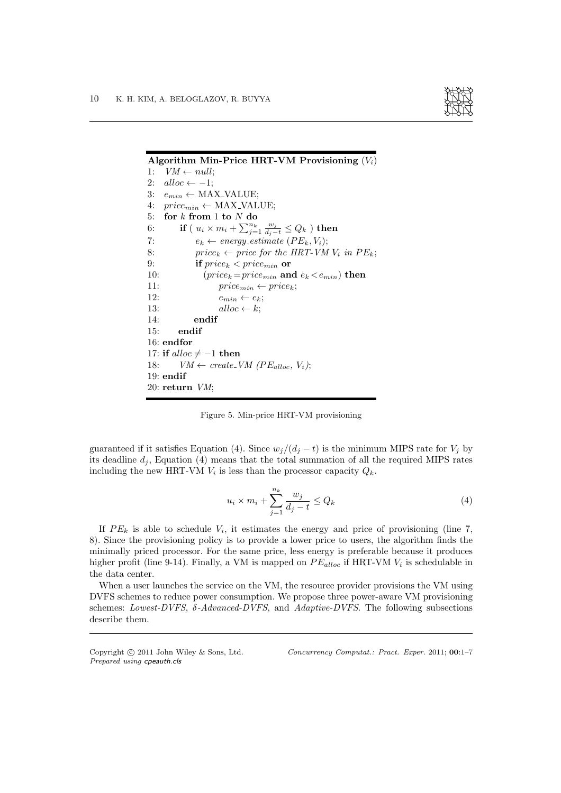

| Algorithm Min-Price HRT-VM Provisioning $(V_i)$                                  |  |  |  |  |  |
|----------------------------------------------------------------------------------|--|--|--|--|--|
| $VM \leftarrow null$<br>1:                                                       |  |  |  |  |  |
| $alloc \leftarrow -1$<br>2:                                                      |  |  |  |  |  |
| 3:<br>$e_{min} \leftarrow \text{MAX\_VALUE};$                                    |  |  |  |  |  |
| 4: $price_{min} \leftarrow \text{MAX\_VALUE};$                                   |  |  |  |  |  |
| 5: for $k$ from 1 to $N$ do                                                      |  |  |  |  |  |
| if ( $u_i \times m_i + \sum_{j=1}^{n_k} \frac{w_j}{d_i-t} \leq Q_k$ ) then<br>6: |  |  |  |  |  |
| $e_k \leftarrow energy\_estimate$ ( $PE_k, V_i$ );<br>7:                         |  |  |  |  |  |
| 8:<br>$price_k \leftarrow price for the HRT-VM V_i in PE_k;$                     |  |  |  |  |  |
| 9:<br>if $price_k < price_{min}$ or                                              |  |  |  |  |  |
| $(price_k = price_{min} \text{ and } e_k < e_{min}) \text{ then}$<br>10:         |  |  |  |  |  |
| 11:<br>$price_{min} \leftarrow price_k$                                          |  |  |  |  |  |
| 12:<br>$e_{min} \leftarrow e_k$                                                  |  |  |  |  |  |
| 13:<br>$alloc \leftarrow k$                                                      |  |  |  |  |  |
| endif<br>14:                                                                     |  |  |  |  |  |
| endif<br>15:                                                                     |  |  |  |  |  |
| $16:$ endfor                                                                     |  |  |  |  |  |
| 17: if alloc $\neq -1$ then                                                      |  |  |  |  |  |
| $VM \leftarrow create\_VM (PE_{alloc}, V_i);$<br>18:                             |  |  |  |  |  |
| $19:$ endif                                                                      |  |  |  |  |  |
| 20: return $VM$ ;                                                                |  |  |  |  |  |

Figure 5. Min-price HRT-VM provisioning

guaranteed if it satisfies Equation (4). Since  $w_j/(d_j - t)$  is the minimum MIPS rate for  $V_j$  by its deadline  $d_i$ , Equation (4) means that the total summation of all the required MIPS rates including the new HRT-VM  $V_i$  is less than the processor capacity  $Q_k$ .

$$
u_i \times m_i + \sum_{j=1}^{n_k} \frac{w_j}{d_j - t} \le Q_k \tag{4}
$$

If  $PE_k$  is able to schedule  $V_i$ , it estimates the energy and price of provisioning (line 7, 8). Since the provisioning policy is to provide a lower price to users, the algorithm finds the minimally priced processor. For the same price, less energy is preferable because it produces higher profit (line 9-14). Finally, a VM is mapped on  $PE_{alloc}$  if HRT-VM  $V_i$  is schedulable in the data center.

When a user launches the service on the VM, the resource provider provisions the VM using DVFS schemes to reduce power consumption. We propose three power-aware VM provisioning schemes: Lowest-DVFS,  $\delta$ -Advanced-DVFS, and Adaptive-DVFS. The following subsections describe them.

*Prepared using* cpeauth.cls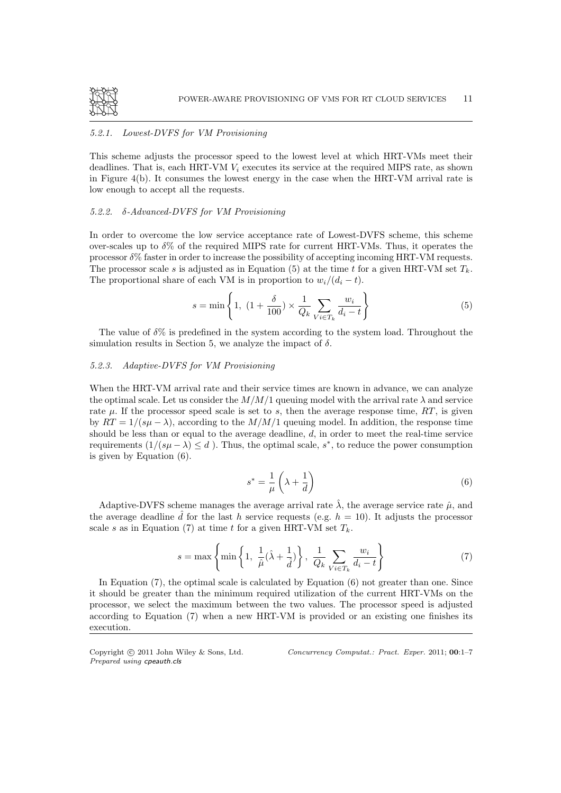

## 5.2.1. Lowest-DVFS for VM Provisioning

This scheme adjusts the processor speed to the lowest level at which HRT-VMs meet their deadlines. That is, each HRT-VM  $V_i$  executes its service at the required MIPS rate, as shown in Figure 4(b). It consumes the lowest energy in the case when the HRT-VM arrival rate is low enough to accept all the requests.

## 5.2.2. δ-Advanced-DVFS for VM Provisioning

In order to overcome the low service acceptance rate of Lowest-DVFS scheme, this scheme over-scales up to  $\delta\%$  of the required MIPS rate for current HRT-VMs. Thus, it operates the processor  $\delta\%$  faster in order to increase the possibility of accepting incoming HRT-VM requests. The processor scale s is adjusted as in Equation (5) at the time t for a given HRT-VM set  $T_k$ . The proportional share of each VM is in proportion to  $w_i/(d_i-t)$ .

$$
s = \min\left\{1, \ (1 + \frac{\delta}{100}) \times \frac{1}{Q_k} \sum_{V_i \in T_k} \frac{w_i}{d_i - t}\right\}
$$
(5)

The value of  $\delta\%$  is predefined in the system according to the system load. Throughout the simulation results in Section 5, we analyze the impact of  $\delta$ .

## 5.2.3. Adaptive-DVFS for VM Provisioning

When the HRT-VM arrival rate and their service times are known in advance, we can analyze the optimal scale. Let us consider the  $M/M/1$  queuing model with the arrival rate  $\lambda$  and service rate  $\mu$ . If the processor speed scale is set to s, then the average response time,  $RT$ , is given by  $RT = 1/(s\mu - \lambda)$ , according to the  $M/M/1$  queuing model. In addition, the response time should be less than or equal to the average deadline,  $d$ , in order to meet the real-time service requirements  $(1/(s\mu - \lambda) \leq d)$ . Thus, the optimal scale, s<sup>\*</sup>, to reduce the power consumption is given by Equation (6).

$$
s^* = \frac{1}{\mu} \left( \lambda + \frac{1}{d} \right) \tag{6}
$$

Adaptive-DVFS scheme manages the average arrival rate  $\hat{\lambda}$ , the average service rate  $\hat{\mu}$ , and the average deadline  $\hat{d}$  for the last h service requests (e.g.  $h = 10$ ). It adjusts the processor scale s as in Equation (7) at time t for a given HRT-VM set  $T_k$ .

$$
s = \max\left\{\min\left\{1, \frac{1}{\hat{\mu}}(\hat{\lambda} + \frac{1}{\hat{d}})\right\}, \frac{1}{Q_k} \sum_{V i \in T_k} \frac{w_i}{d_i - t}\right\} \tag{7}
$$

In Equation (7), the optimal scale is calculated by Equation (6) not greater than one. Since it should be greater than the minimum required utilization of the current HRT-VMs on the processor, we select the maximum between the two values. The processor speed is adjusted according to Equation (7) when a new HRT-VM is provided or an existing one finishes its execution.

*Prepared using* cpeauth.cls

Copyright c 2011 John Wiley & Sons, Ltd. *Concurrency Computat.: Pract. Exper.* 2011; 00:1–7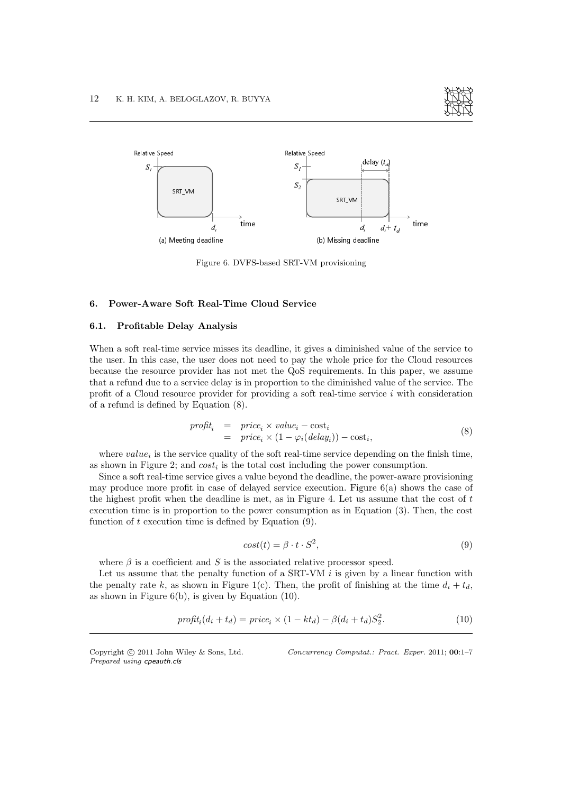



Figure 6. DVFS-based SRT-VM provisioning

## 6. Power-Aware Soft Real-Time Cloud Service

## 6.1. Profitable Delay Analysis

When a soft real-time service misses its deadline, it gives a diminished value of the service to the user. In this case, the user does not need to pay the whole price for the Cloud resources because the resource provider has not met the QoS requirements. In this paper, we assume that a refund due to a service delay is in proportion to the diminished value of the service. The profit of a Cloud resource provider for providing a soft real-time service i with consideration of a refund is defined by Equation (8).

$$
profit_i = price_i \times value_i - cost_i
$$
  
= price\_i \times (1 - \varphi\_i(delay\_i)) - cost\_i, (8)

where  $value_i$  is the service quality of the soft real-time service depending on the finish time, as shown in Figure 2; and  $cost_i$  is the total cost including the power consumption.

Since a soft real-time service gives a value beyond the deadline, the power-aware provisioning may produce more profit in case of delayed service execution. Figure 6(a) shows the case of the highest profit when the deadline is met, as in Figure 4. Let us assume that the cost of t execution time is in proportion to the power consumption as in Equation (3). Then, the cost function of  $t$  execution time is defined by Equation  $(9)$ .

$$
cost(t) = \beta \cdot t \cdot S^2,\tag{9}
$$

where  $\beta$  is a coefficient and S is the associated relative processor speed.

Let us assume that the penalty function of a  $SRT-VM$  is given by a linear function with the penalty rate k, as shown in Figure 1(c). Then, the profit of finishing at the time  $d_i + t_d$ , as shown in Figure  $6(b)$ , is given by Equation  $(10)$ .

$$
profit_i(d_i + t_d) = price_i \times (1 - kt_d) - \beta(d_i + t_d)S_2^2.
$$
\n
$$
(10)
$$

*Prepared using* cpeauth.cls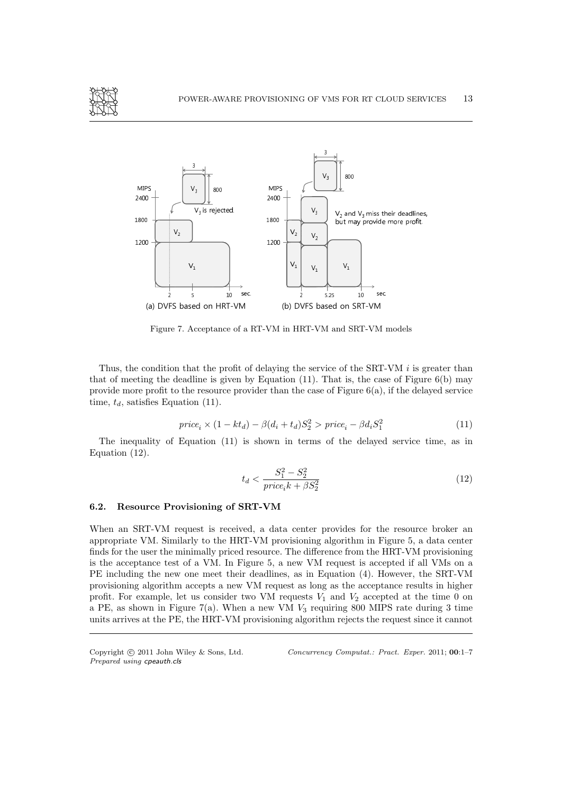



Figure 7. Acceptance of a RT-VM in HRT-VM and SRT-VM models

Thus, the condition that the profit of delaying the service of the  $SRT-VM$  is greater than that of meeting the deadline is given by Equation  $(11)$ . That is, the case of Figure 6(b) may provide more profit to the resource provider than the case of Figure  $6(a)$ , if the delayed service time,  $t_d$ , satisfies Equation (11).

$$
price_i \times (1 - kt_d) - \beta(d_i + t_d)S_2^2 > price_i - \beta d_i S_1^2
$$
\n
$$
(11)
$$

The inequality of Equation (11) is shown in terms of the delayed service time, as in Equation (12).

$$
t_d < \frac{S_1^2 - S_2^2}{price_ik + \beta S_2^2} \tag{12}
$$

#### 6.2. Resource Provisioning of SRT-VM

When an SRT-VM request is received, a data center provides for the resource broker an appropriate VM. Similarly to the HRT-VM provisioning algorithm in Figure 5, a data center finds for the user the minimally priced resource. The difference from the HRT-VM provisioning is the acceptance test of a VM. In Figure 5, a new VM request is accepted if all VMs on a PE including the new one meet their deadlines, as in Equation (4). However, the SRT-VM provisioning algorithm accepts a new VM request as long as the acceptance results in higher profit. For example, let us consider two VM requests  $V_1$  and  $V_2$  accepted at the time 0 on a PE, as shown in Figure 7(a). When a new VM  $V_3$  requiring 800 MIPS rate during 3 time units arrives at the PE, the HRT-VM provisioning algorithm rejects the request since it cannot

*Prepared using* cpeauth.cls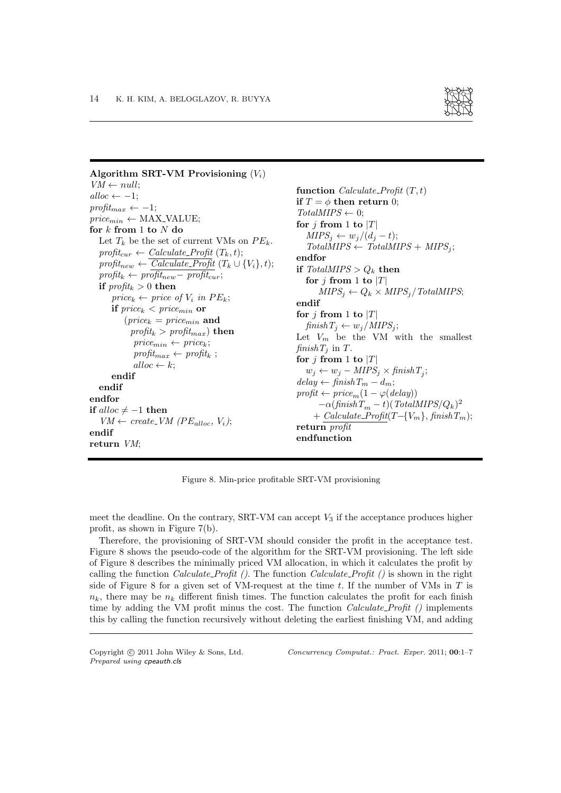

```
Algorithm SRT-VM Provisioning (V_i)VM \leftarrow null;alloc \leftarrow -1;profit_{max} \leftarrow -1;price_{min} \leftarrow \text{MAX\_VALUE};for k from 1 to N do
  Let T_k be the set of current VMs on PE_k.
   profit_{cur} \leftarrow Calculate\_Profit(T_k, t);profit_{new} \leftarrow Calculate\_Profit(T_k \cup \{V_i\}, t);\text{profit}_{k} \leftarrow \text{profit}_{new} - \text{profit}_{cur};if \text{profit}_k > 0 then
      price_k \leftarrow price \ of \ V_i \ in \ PE_k;if price_k < price_{min} or
          (price_k = price_{min} and
            profit_k > profit_{max}) then
             price_{min} \leftarrow price_k;profit_{max} \leftarrow profit_k;
             alloc \leftarrow k;
      endif
  endif
endfor
if alloc \neq −1 then
   VM \leftarrow create\_VM (PE_{alloc}, V_i);endif
return VM;
                                                                function Calculate_Profit (T, t)if T = \phi then return 0;
                                                                TotalMIPS \leftarrow 0;
                                                                for j from 1 to |T|MIPS_i \leftarrow w_i/(d_i - t);TotalMIPS \leftarrow TotalMIPS + MIPS_i;endfor
                                                                if TotalMIPS > Q_k then
                                                                   for j from 1 to |T|MIPS_j \leftarrow Q_k \times MIPS_j / Total MIPS;endif
                                                                for j from 1 to |T|finishT_i \leftarrow w_i/MIPS_i;Let V_m be the VM with the smallest
                                                                f\{inirb\} in T.
                                                                for j from 1 to |T|w_j \leftarrow w_j - MIPS_j \times \text{finish } T_j;delay \leftarrow finishT_m - d_m;profit \leftarrow price_m(1 - \varphi(delay))-\alpha(\text{finis} \overset{m}\hskip -1pt\Gamma_m - t)(\text{TotalMIPS}/Q_k)^2+ Calculate_Profit(T - \{V_m\}, finishT_m);return profit
                                                                endfunction
```
Figure 8. Min-price profitable SRT-VM provisioning

meet the deadline. On the contrary, SRT-VM can accept  $V_3$  if the acceptance produces higher profit, as shown in Figure 7(b).

Therefore, the provisioning of SRT-VM should consider the profit in the acceptance test. Figure 8 shows the pseudo-code of the algorithm for the SRT-VM provisioning. The left side of Figure 8 describes the minimally priced VM allocation, in which it calculates the profit by calling the function *Calculate\_Profit* (). The function *Calculate\_Profit* () is shown in the right side of Figure 8 for a given set of VM-request at the time  $t$ . If the number of VMs in  $T$  is  $n_k$ , there may be  $n_k$  different finish times. The function calculates the profit for each finish time by adding the VM profit minus the cost. The function  $Calculate\textit{Profit}$  () implements this by calling the function recursively without deleting the earliest finishing VM, and adding

*Prepared using* cpeauth.cls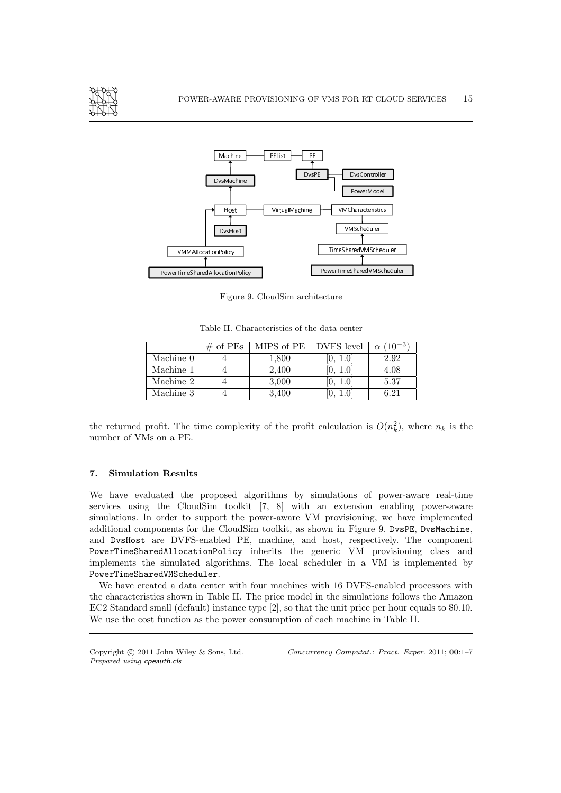



Figure 9. CloudSim architecture

Table II. Characteristics of the data center

|           | $\#$ of PEs | MIPS of PE | DVFS level | $(10^{-3})$ |
|-----------|-------------|------------|------------|-------------|
| Machine 0 |             | 1,800      | 10, 1.01   | 2.92        |
| Machine 1 |             | 2,400      | 0, 1.0     | 4.08        |
| Machine 2 |             | 3,000      |            | 5.37        |
| Machine 3 |             | 3,400      |            | $6.21\,$    |

the returned profit. The time complexity of the profit calculation is  $O(n_k^2)$ , where  $n_k$  is the number of VMs on a PE.

#### 7. Simulation Results

We have evaluated the proposed algorithms by simulations of power-aware real-time services using the CloudSim toolkit [7, 8] with an extension enabling power-aware simulations. In order to support the power-aware VM provisioning, we have implemented additional components for the CloudSim toolkit, as shown in Figure 9. DvsPE, DvsMachine, and DvsHost are DVFS-enabled PE, machine, and host, respectively. The component PowerTimeSharedAllocationPolicy inherits the generic VM provisioning class and implements the simulated algorithms. The local scheduler in a VM is implemented by PowerTimeSharedVMScheduler.

We have created a data center with four machines with 16 DVFS-enabled processors with the characteristics shown in Table II. The price model in the simulations follows the Amazon EC2 Standard small (default) instance type [2], so that the unit price per hour equals to \$0.10. We use the cost function as the power consumption of each machine in Table II.

*Prepared using* cpeauth.cls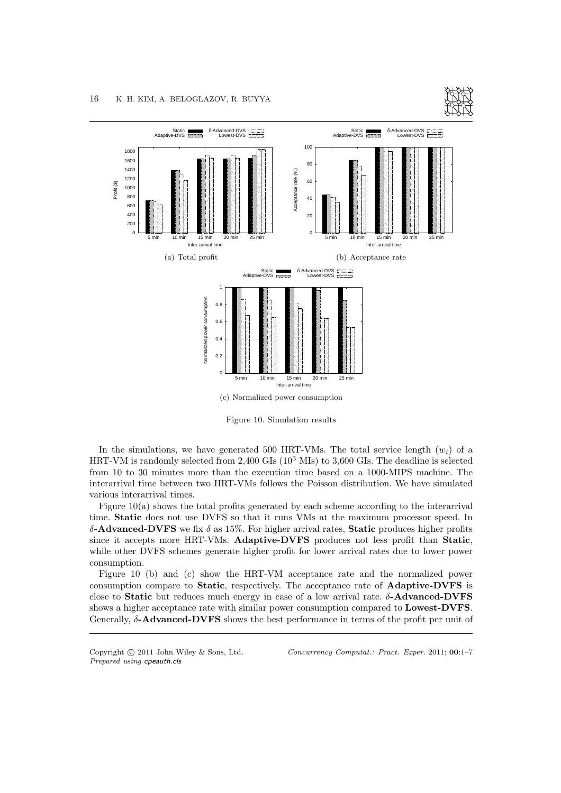



Figure 10. Simulation results

In the simulations, we have generated 500 HRT-VMs. The total service length  $(w_i)$  of a HRT-VM is randomly selected from  $2,400$  GIs  $(10^3$  MIs) to  $3,600$  GIs. The deadline is selected from 10 to 30 minutes more than the execution time based on a 1000-MIPS machine. The interarrival time between two HRT-VMs follows the Poisson distribution. We have simulated various interarrival times.

Figure 10(a) shows the total profits generated by each scheme according to the interarrival time. Static does not use DVFS so that it runs VMs at the maximum processor speed. In δ-Advanced-DVFS we fix δ as 15%. For higher arrival rates, Static produces higher profits since it accepts more HRT-VMs. Adaptive-DVFS produces not less profit than Static, while other DVFS schemes generate higher profit for lower arrival rates due to lower power consumption.

Figure 10 (b) and (c) show the HRT-VM acceptance rate and the normalized power consumption compare to Static, respectively. The acceptance rate of Adaptive-DVFS is close to **Static** but reduces much energy in case of a low arrival rate.  $\delta$ -**Advanced-DVFS** shows a higher acceptance rate with similar power consumption compared to Lowest-DVFS. Generally, δ-Advanced-DVFS shows the best performance in terms of the profit per unit of

*Prepared using* cpeauth.cls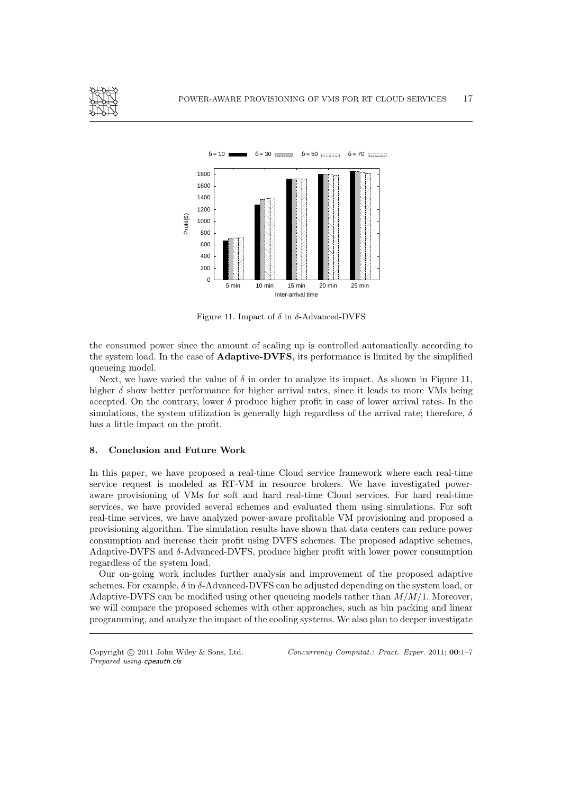



Figure 11. Impact of  $\delta$  in δ-Advanced-DVFS

the consumed power since the amount of scaling up is controlled automatically according to the system load. In the case of Adaptive-DVFS, its performance is limited by the simplified queueing model.

Next, we have varied the value of  $\delta$  in order to analyze its impact. As shown in Figure 11, higher  $\delta$  show better performance for higher arrival rates, since it leads to more VMs being accepted. On the contrary, lower  $\delta$  produce higher profit in case of lower arrival rates. In the simulations, the system utilization is generally high regardless of the arrival rate; therefore,  $\delta$ has a little impact on the profit.

## 8. Conclusion and Future Work

In this paper, we have proposed a real-time Cloud service framework where each real-time service request is modeled as RT-VM in resource brokers. We have investigated poweraware provisioning of VMs for soft and hard real-time Cloud services. For hard real-time services, we have provided several schemes and evaluated them using simulations. For soft real-time services, we have analyzed power-aware profitable VM provisioning and proposed a provisioning algorithm. The simulation results have shown that data centers can reduce power consumption and increase their profit using DVFS schemes. The proposed adaptive schemes, Adaptive-DVFS and  $\delta$ -Advanced-DVFS, produce higher profit with lower power consumption regardless of the system load.

Our on-going work includes further analysis and improvement of the proposed adaptive schemes. For example,  $\delta$  in  $\delta$ -Advanced-DVFS can be adjusted depending on the system load, or Adaptive-DVFS can be modified using other queueing models rather than  $M/M/1$ . Moreover, we will compare the proposed schemes with other approaches, such as bin packing and linear programming, and analyze the impact of the cooling systems. We also plan to deeper investigate

*Prepared using* cpeauth.cls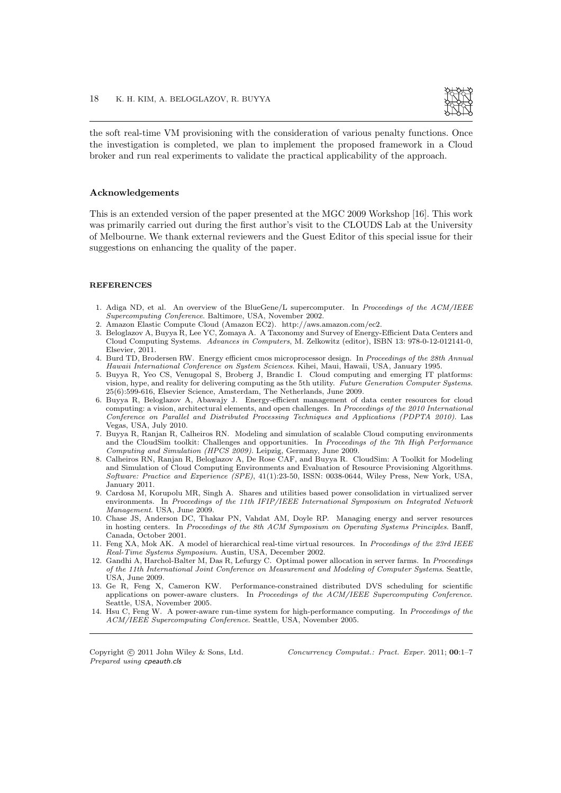

the soft real-time VM provisioning with the consideration of various penalty functions. Once the investigation is completed, we plan to implement the proposed framework in a Cloud broker and run real experiments to validate the practical applicability of the approach.

#### Acknowledgements

This is an extended version of the paper presented at the MGC 2009 Workshop [16]. This work was primarily carried out during the first author's visit to the CLOUDS Lab at the University of Melbourne. We thank external reviewers and the Guest Editor of this special issue for their suggestions on enhancing the quality of the paper.

#### **REFERENCES**

- 1. Adiga ND, et al. An overview of the BlueGene/L supercomputer. In *Proceedings of the ACM/IEEE Supercomputing Conference*. Baltimore, USA, November 2002.
- 2. Amazon Elastic Compute Cloud (Amazon EC2). http://aws.amazon.com/ec2.
- 3. Beloglazov A, Buyya R, Lee YC, Zomaya A. A Taxonomy and Survey of Energy-Efficient Data Centers and Cloud Computing Systems. *Advances in Computers*, M. Zelkowitz (editor), ISBN 13: 978-0-12-012141-0, Elsevier, 2011.
- 4. Burd TD, Brodersen RW. Energy efficient cmos microprocessor design. In *Proceedings of the 28th Annual Hawaii International Conference on System Sciences*. Kihei, Maui, Hawaii, USA, January 1995.
- 5. Buyya R, Yeo CS, Venugopal S, Broberg J, Brandic I. Cloud computing and emerging IT platforms: vision, hype, and reality for delivering computing as the 5th utility. *Future Generation Computer Systems*. 25(6):599-616, Elsevier Science, Amsterdam, The Netherlands, June 2009.
- 6. Buyya R, Beloglazov A, Abawajy J. Energy-efficient management of data center resources for cloud computing: a vision, architectural elements, and open challenges. In *Proceedings of the 2010 International Conference on Parallel and Distributed Processing Techniques and Applications (PDPTA 2010)*. Las Vegas, USA, July 2010.
- 7. Buyya R, Ranjan R, Calheiros RN. Modeling and simulation of scalable Cloud computing environments and the CloudSim toolkit: Challenges and opportunities. In *Proceedings of the 7th High Performance Computing and Simulation (HPCS 2009)*. Leipzig, Germany, June 2009.
- 8. Calheiros RN, Ranjan R, Beloglazov A, De Rose CAF, and Buyya R. CloudSim: A Toolkit for Modeling and Simulation of Cloud Computing Environments and Evaluation of Resource Provisioning Algorithms. *Software: Practice and Experience (SPE)*, 41(1):23-50, ISSN: 0038-0644, Wiley Press, New York, USA, January 2011.
- 9. Cardosa M, Korupolu MR, Singh A. Shares and utilities based power consolidation in virtualized server environments. In *Proceedings of the 11th IFIP/IEEE International Symposium on Integrated Network Management*. USA, June 2009.
- 10. Chase JS, Anderson DC, Thakar PN, Vahdat AM, Doyle RP. Managing energy and server resources in hosting centers. In *Proceedings of the 8th ACM Symposium on Operating Systems Principles*. Banff, Canada, October 2001.
- 11. Feng XA, Mok AK. A model of hierarchical real-time virtual resources. In *Proceedings of the 23rd IEEE Real-Time Systems Symposium*. Austin, USA, December 2002.
- 12. Gandhi A, Harchol-Balter M, Das R, Lefurgy C. Optimal power allocation in server farms. In *Proceedings of the 11th International Joint Conference on Measurement and Modeling of Computer Systems*. Seattle, USA, June 2009.
- 13. Ge R, Feng X, Cameron KW. Performance-constrained distributed DVS scheduling for scientific applications on power-aware clusters. In *Proceedings of the ACM/IEEE Supercomputing Conference*. Seattle, USA, November 2005.
- 14. Hsu C, Feng W. A power-aware run-time system for high-performance computing. In *Proceedings of the ACM/IEEE Supercomputing Conference*. Seattle, USA, November 2005.

*Prepared using* cpeauth.cls